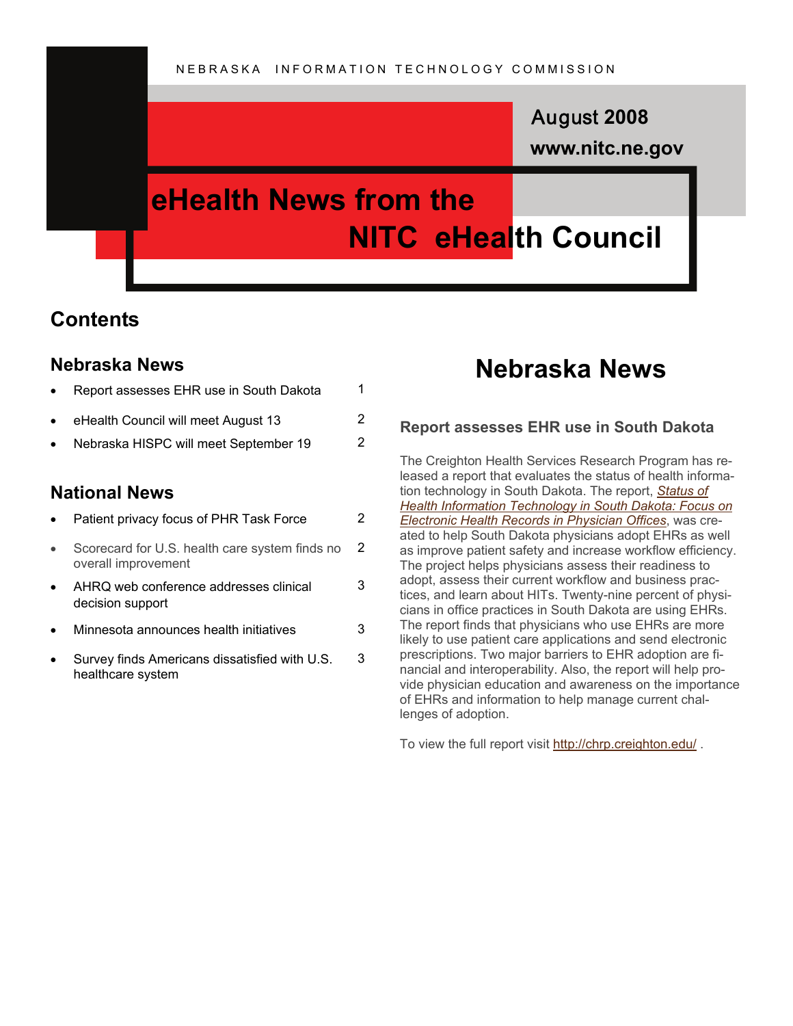### **www.nitc.ne.gov** August **2008**

## **eHealth News from the NITC eHealth Council**

3

### **Contents**

#### **Nebraska News**

| Report assesses EHR use in South Dakota |    |
|-----------------------------------------|----|
| eHealth Council will meet August 13     | 2. |
| Nebraska HISPC will meet September 19   | 2  |
|                                         |    |

### **National News**

|  | Patient privacy focus of PHR Task Force |  |
|--|-----------------------------------------|--|
|--|-----------------------------------------|--|

- Scorecard for U.S. health care system finds no overall improvement 2
- AHRQ web conference addresses clinical decision support
- Minnesota announces health initiatives 3
- Survey finds Americans dissatisfied with U.S. healthcare system 3

### **Nebraska News**

#### **Report assesses EHR use in South Dakota**

The Creighton Health Services Research Program has released a report that evaluates the status of health information technology in South Dakota. The report, *[Status of](http://chrp.creighton.edu/Documents/EHR_Report/Status_of_Health_Information_Technology_in_South%20Dakota_May_2008.pdf)  [Health Information Technology in South Dakota: Focus on](http://chrp.creighton.edu/Documents/EHR_Report/Status_of_Health_Information_Technology_in_South%20Dakota_May_2008.pdf)  [Electronic Health Records in Physician Offices](http://chrp.creighton.edu/Documents/EHR_Report/Status_of_Health_Information_Technology_in_South%20Dakota_May_2008.pdf)*, was created to help South Dakota physicians adopt EHRs as well as improve patient safety and increase workflow efficiency. The project helps physicians assess their readiness to adopt, assess their current workflow and business practices, and learn about HITs. Twenty-nine percent of physicians in office practices in South Dakota are using EHRs. The report finds that physicians who use EHRs are more likely to use patient care applications and send electronic prescriptions. Two major barriers to EHR adoption are financial and interoperability. Also, the report will help provide physician education and awareness on the importance of EHRs and information to help manage current challenges of adoption.

To view the full report visit <http://chrp.creighton.edu/> .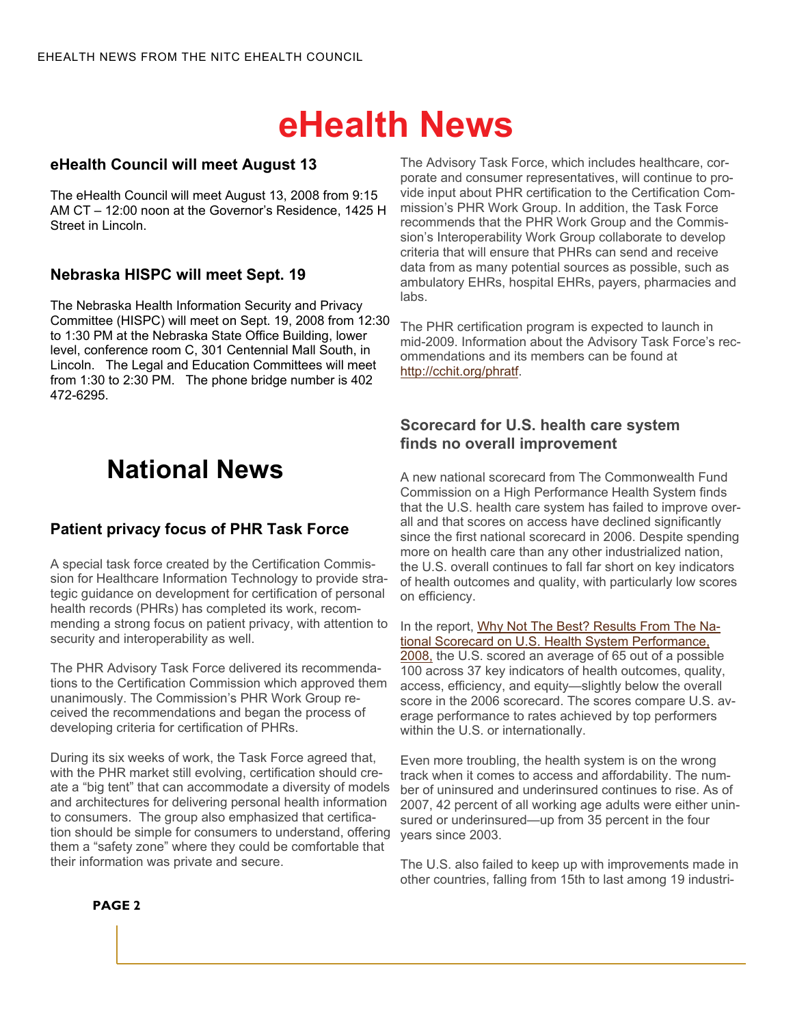# **eHealth News**

#### **eHealth Council will meet August 13**

The eHealth Council will meet August 13, 2008 from 9:15 AM CT – 12:00 noon at the Governor's Residence, 1425 H Street in Lincoln.

#### **Nebraska HISPC will meet Sept. 19**

The Nebraska Health Information Security and Privacy Committee (HISPC) will meet on Sept. 19, 2008 from 12:30 to 1:30 PM at the Nebraska State Office Building, lower level, conference room C, 301 Centennial Mall South, in Lincoln. The Legal and Education Committees will meet from 1:30 to 2:30 PM. The phone bridge number is 402 472-6295.

## **National News**

#### **Patient privacy focus of PHR Task Force**

A special task force created by the Certification Commission for Healthcare Information Technology to provide strategic guidance on development for certification of personal health records (PHRs) has completed its work, recommending a strong focus on patient privacy, with attention to security and interoperability as well.

The PHR Advisory Task Force delivered its recommendations to the Certification Commission which approved them unanimously. The Commission's PHR Work Group received the recommendations and began the process of developing criteria for certification of PHRs.

During its six weeks of work, the Task Force agreed that, with the PHR market still evolving, certification should create a "big tent" that can accommodate a diversity of models and architectures for delivering personal health information to consumers. The group also emphasized that certification should be simple for consumers to understand, offering them a "safety zone" where they could be comfortable that their information was private and secure.

The Advisory Task Force, which includes healthcare, corporate and consumer representatives, will continue to provide input about PHR certification to the Certification Commission's PHR Work Group. In addition, the Task Force recommends that the PHR Work Group and the Commission's Interoperability Work Group collaborate to develop criteria that will ensure that PHRs can send and receive data from as many potential sources as possible, such as ambulatory EHRs, hospital EHRs, payers, pharmacies and labs.

The PHR certification program is expected to launch in mid-2009. Information about the Advisory Task Force's recommendations and its members can be found at <http://cchit.org/phratf>.

#### **Scorecard for U.S. health care system finds no overall improvement**

A new national scorecard from The Commonwealth Fund Commission on a High Performance Health System finds that the U.S. health care system has failed to improve overall and that scores on access have declined significantly since the first national scorecard in 2006. Despite spending more on health care than any other industrialized nation, the U.S. overall continues to fall far short on key indicators of health outcomes and quality, with particularly low scores on efficiency.

In the report, [Why Not The Best? Results From The Na](http://www.commonwealthfund.org/publications/publications_show.htm?doc_id=692682)[tional Scorecard on U.S. Health System Performance,](http://www.commonwealthfund.org/publications/publications_show.htm?doc_id=692682)  [2008,](http://www.commonwealthfund.org/publications/publications_show.htm?doc_id=692682) the U.S. scored an average of 65 out of a possible 100 across 37 key indicators of health outcomes, quality, access, efficiency, and equity—slightly below the overall score in the 2006 scorecard. The scores compare U.S. average performance to rates achieved by top performers within the U.S. or internationally.

Even more troubling, the health system is on the wrong track when it comes to access and affordability. The number of uninsured and underinsured continues to rise. As of 2007, 42 percent of all working age adults were either uninsured or underinsured—up from 35 percent in the four years since 2003.

The U.S. also failed to keep up with improvements made in other countries, falling from 15th to last among 19 industri-

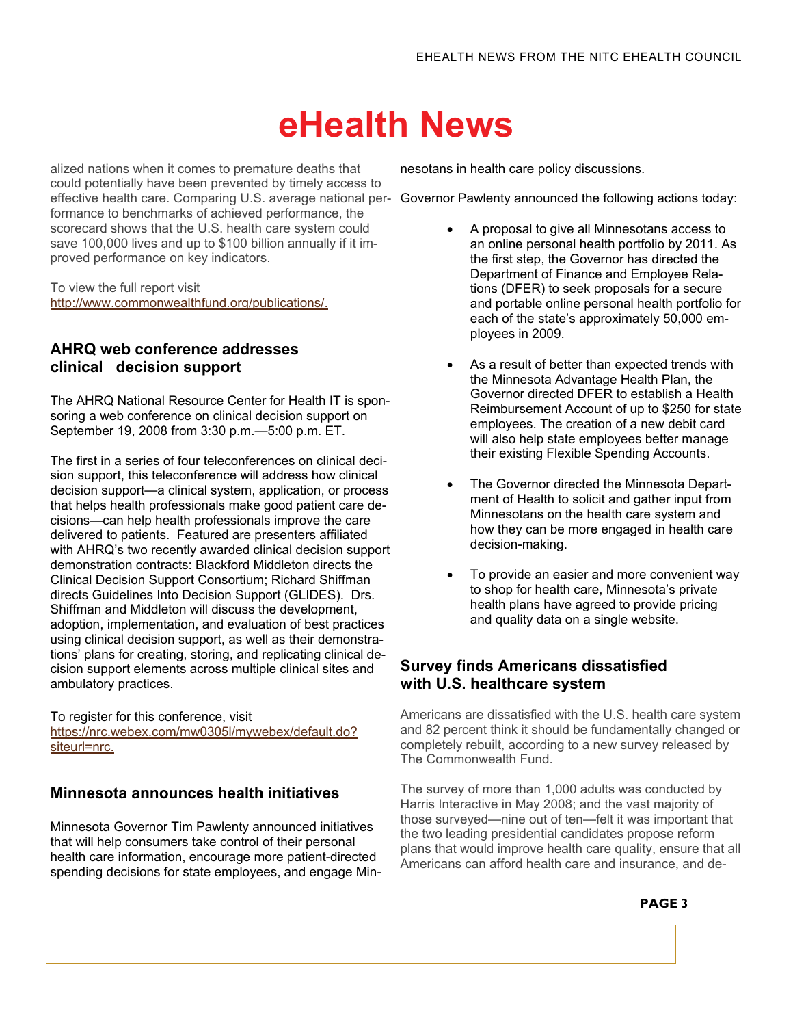# **eHealth News**

alized nations when it comes to premature deaths that could potentially have been prevented by timely access to effective health care. Comparing U.S. average national per-Governor Pawlenty announced the following actions today: formance to benchmarks of achieved performance, the scorecard shows that the U.S. health care system could save 100,000 lives and up to \$100 billion annually if it improved performance on key indicators.

To view the full report visit [http://www.commonwealthfund.org/publications/.](http://www.commonwealthfund.org/publications/publications_show.htm?doc_id=698139) 

#### **AHRQ web conference addresses clinical decision support**

The AHRQ National Resource Center for Health IT is sponsoring a web conference on clinical decision support on September 19, 2008 from 3:30 p.m.—5:00 p.m. ET.

The first in a series of four teleconferences on clinical decision support, this teleconference will address how clinical decision support—a clinical system, application, or process that helps health professionals make good patient care decisions—can help health professionals improve the care delivered to patients. Featured are presenters affiliated with AHRQ's two recently awarded clinical decision support demonstration contracts: Blackford Middleton directs the Clinical Decision Support Consortium; Richard Shiffman directs Guidelines Into Decision Support (GLIDES). Drs. Shiffman and Middleton will discuss the development, adoption, implementation, and evaluation of best practices using clinical decision support, as well as their demonstrations' plans for creating, storing, and replicating clinical decision support elements across multiple clinical sites and ambulatory practices.

To register for this conference, visit [https://nrc.webex.com/mw0305l/mywebex/default.do?](https://nrc.webex.com/mw0305l/mywebex/default.do?siteurl=nrc) [siteurl=nrc.](https://nrc.webex.com/mw0305l/mywebex/default.do?siteurl=nrc)

#### **Minnesota announces health initiatives**

Minnesota Governor Tim Pawlenty announced initiatives that will help consumers take control of their personal health care information, encourage more patient-directed spending decisions for state employees, and engage Minnesotans in health care policy discussions.

- A proposal to give all Minnesotans access to an online personal health portfolio by 2011. As the first step, the Governor has directed the Department of Finance and Employee Relations (DFER) to seek proposals for a secure and portable online personal health portfolio for each of the state's approximately 50,000 employees in 2009.
- As a result of better than expected trends with the Minnesota Advantage Health Plan, the Governor directed DFER to establish a Health Reimbursement Account of up to \$250 for state employees. The creation of a new debit card will also help state employees better manage their existing Flexible Spending Accounts.
- The Governor directed the Minnesota Department of Health to solicit and gather input from Minnesotans on the health care system and how they can be more engaged in health care decision-making.
- To provide an easier and more convenient way to shop for health care, Minnesota's private health plans have agreed to provide pricing and quality data on a single website.

#### **Survey finds Americans dissatisfied with U.S. healthcare system**

Americans are dissatisfied with the U.S. health care system and 82 percent think it should be fundamentally changed or completely rebuilt, according to a new survey released by The Commonwealth Fund.

The survey of more than 1,000 adults was conducted by Harris Interactive in May 2008; and the vast majority of those surveyed—nine out of ten—felt it was important that the two leading presidential candidates propose reform plans that would improve health care quality, ensure that all Americans can afford health care and insurance, and de-

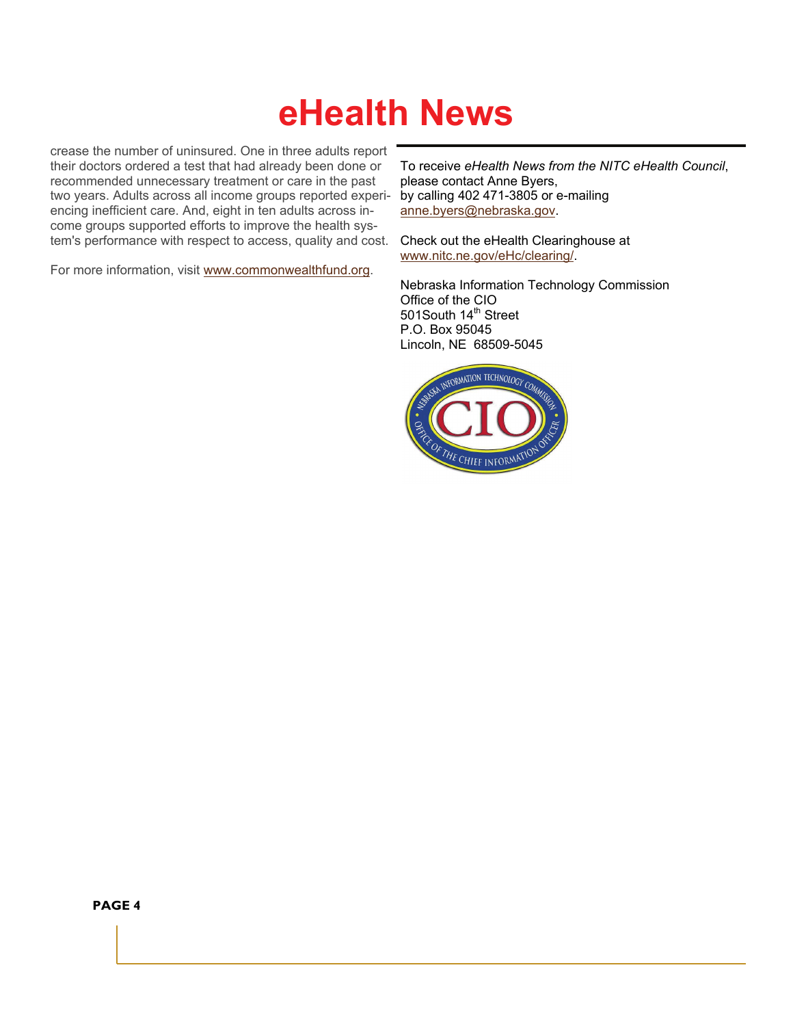# **eHealth News**

crease the number of uninsured. One in three adults report their doctors ordered a test that had already been done or recommended unnecessary treatment or care in the past two years. Adults across all income groups reported experiencing inefficient care. And, eight in ten adults across income groups supported efforts to improve the health system's performance with respect to access, quality and cost.

For more information, visit [www.commonwealthfund.org](http://www.commonwealthfund.org).

To receive *eHealth News from the NITC eHealth Council*, please contact Anne Byers, by calling 402 471-3805 or e-mailing [anne.byers@nebraska.gov](mailto:anne.byers@nebraska.gov).

Check out the eHealth Clearinghouse at [www.nitc.ne.gov/eHc/clearing/](http://www.nitc.ne.gov/eHc/clearing/).

Nebraska Information Technology Commission Office of the CIO 501South 14<sup>th</sup> Street P.O. Box 95045 Lincoln, NE 68509-5045



**PAGE 4**